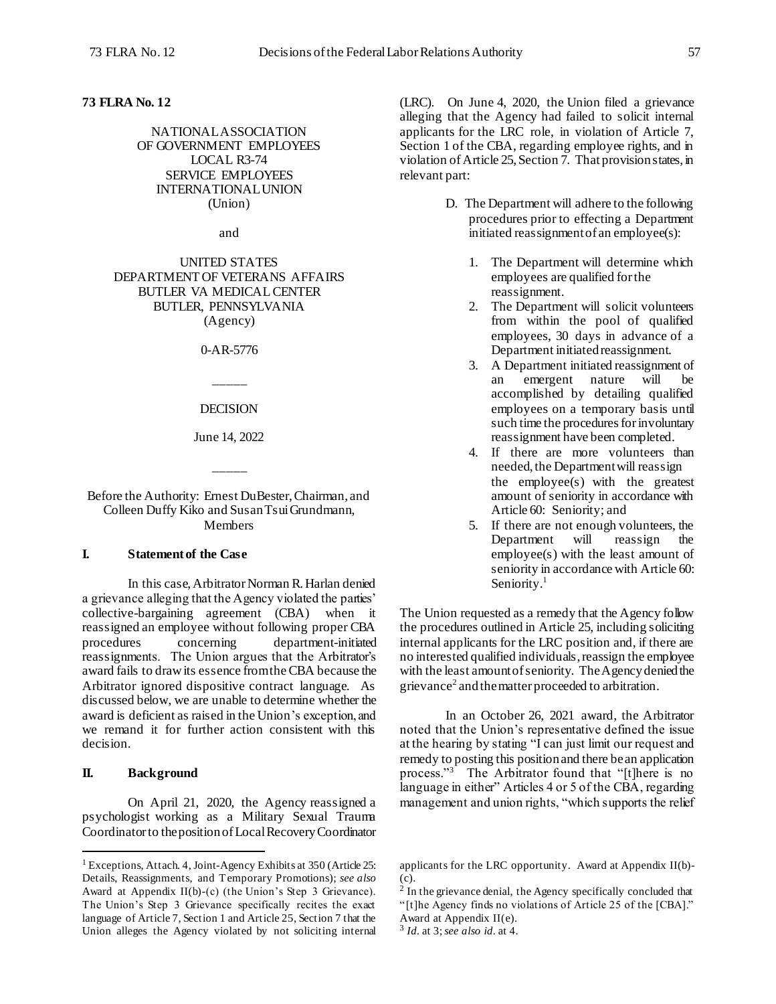## **73 FLRA No. 12**

NATIONAL ASSOCIATION OF GOVERNMENT EMPLOYEES LOCAL R3-74 SERVICE EMPLOYEES INTERNATIONAL UNION (Union)

and

UNITED STATES DEPARTMENT OF VETERANS AFFAIRS BUTLER VA MEDICAL CENTER BUTLER, PENNSYLVANIA (Agency)

0-AR-5776

\_\_\_\_\_

#### DECISION

June 14, 2022

\_\_\_\_\_

Before the Authority: Ernest DuBester, Chairman, and Colleen Duffy Kiko and Susan Tsui Grundmann, Members

## **I. Statement of the Case**

In this case, Arbitrator Norman R. Harlan denied a grievance alleging that the Agency violated the parties' collective-bargaining agreement (CBA) when it reassigned an employee without following proper CBA procedures concerning department-initiated reassignments. The Union argues that the Arbitrator's award fails to draw its essence from the CBA because the Arbitrator ignored dispositive contract language. As discussed below, we are unable to determine whether the award is deficient as raised in the Union's exception, and we remand it for further action consistent with this decision.

# **II. Background**

l

On April 21, 2020, the Agency reassigned a psychologist working as a Military Sexual Trauma Coordinator to the position of Local Recovery Coordinator

(LRC). On June 4, 2020, the Union filed a grievance alleging that the Agency had failed to solicit internal applicants for the LRC role, in violation of Article 7, Section 1 of the CBA, regarding employee rights, and in violation of Article 25, Section 7. That provision states, in relevant part:

- D. The Department will adhere to the following procedures prior to effecting a Department initiated reassignment of an employee(s):
	- 1. The Department will determine which employees are qualified for the reassignment.
	- 2. The Department will solicit volunteers from within the pool of qualified employees, 30 days in advance of a Department initiated reassignment.
	- 3. A Department initiated reassignment of an emergent nature will be accomplished by detailing qualified employees on a temporary basis until such time the procedures for involuntary reassignment have been completed.
	- 4. If there are more volunteers than needed, the Department will reassign the employee(s) with the greatest amount of seniority in accordance with Article 60: Seniority; and
	- 5. If there are not enough volunteers, the<br>Department will reassign the Department will reassign the employee(s) with the least amount of seniority in accordance with Article 60: Seniority.<sup>1</sup>

The Union requested as a remedy that the Agency follow the procedures outlined in Article 25, including soliciting internal applicants for the LRC position and, if there are no interested qualified individuals, reassign the employee with the least amount of seniority. The Agency denied the grievance<sup>2</sup> and the matter proceeded to arbitration.

In an October 26, 2021 award, the Arbitrator noted that the Union's representative defined the issue at the hearing by stating "I can just limit our request and remedy to posting this position and there be an application process."<sup>3</sup> The Arbitrator found that "[t]here is no language in either" Articles 4 or 5 of the CBA, regarding management and union rights, "which supports the relief

<sup>&</sup>lt;sup>1</sup> Exceptions, Attach. 4, Joint-Agency Exhibits at 350 (Article 25: Details, Reassignments, and Temporary Promotions); *see also* Award at Appendix II(b)-(c) (the Union's Step 3 Grievance). The Union's Step 3 Grievance specifically recites the exact language of Article 7, Section 1 and Article 25, Section 7 that the Union alleges the Agency violated by not soliciting internal

applicants for the LRC opportunity. Award at Appendix II(b)- (c).

<sup>&</sup>lt;sup>2</sup> In the grievance denial, the Agency specifically concluded that "[t]he Agency finds no violations of Article 25 of the [CBA]."

Award at Appendix II(e).

<sup>3</sup> *Id.* at 3; *see also id.* at 4.